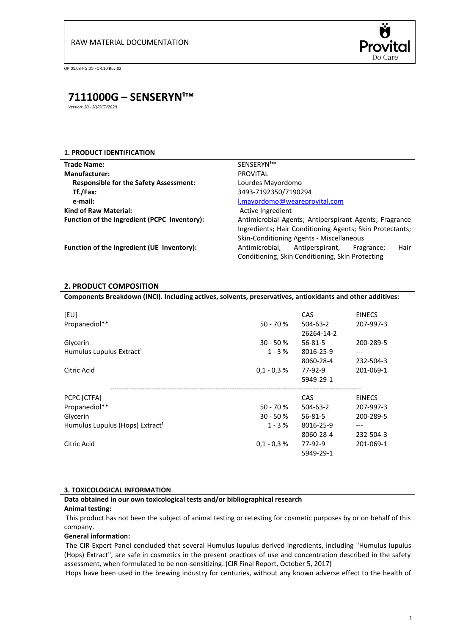

# **7111000G – SENSERYN¹™**

*Version: 20 - 20/OCT/2020*

# **1. PRODUCT IDENTIFICATION**

| <b>Trade Name:</b>                            | SENSERYN <sup>1™</sup>                                                                                                                                         |                 |            |      |  |
|-----------------------------------------------|----------------------------------------------------------------------------------------------------------------------------------------------------------------|-----------------|------------|------|--|
| <b>Manufacturer:</b>                          | <b>PROVITAL</b>                                                                                                                                                |                 |            |      |  |
| <b>Responsible for the Safety Assessment:</b> | Lourdes Mayordomo                                                                                                                                              |                 |            |      |  |
| Tf./Fax:                                      | 3493-7192350/7190294                                                                                                                                           |                 |            |      |  |
| e-mail:                                       | l.mayordomo@weareprovital.com                                                                                                                                  |                 |            |      |  |
| <b>Kind of Raw Material:</b>                  | Active Ingredient                                                                                                                                              |                 |            |      |  |
| Function of the Ingredient (PCPC Inventory):  | Antimicrobial Agents; Antiperspirant Agents; Fragrance<br>Ingredients; Hair Conditioning Agents; Skin Protectants;<br>Skin-Conditioning Agents - Miscellaneous |                 |            |      |  |
| Function of the Ingredient (UE Inventory):    | Antimicrobial,                                                                                                                                                 | Antiperspirant, | Fragrance; | Hair |  |

Conditioning, Skin Conditioning, Skin Protecting

# **2. PRODUCT COMPOSITION**

# **Components Breakdown (INCI). Including actives, solvents, preservatives, antioxidants and other additives:**

| [EU]<br>Propanediol**                            | $50 - 70 %$             | <b>CAS</b><br>$504 - 63 - 2$<br>26264-14-2 | <b>EINECS</b><br>207-997-3    |  |
|--------------------------------------------------|-------------------------|--------------------------------------------|-------------------------------|--|
| Glycerin<br>Humulus Lupulus Extract <sup>1</sup> | $30 - 50 %$<br>$1 - 3%$ | $56 - 81 - 5$<br>8016-25-9<br>8060-28-4    | 200-289-5<br>---<br>232-504-3 |  |
| Citric Acid                                      | $0.1 - 0.3 %$           | 77-92-9<br>5949-29-1                       | 201-069-1                     |  |
| PCPC [CTFA]                                      |                         | CAS                                        | <b>EINECS</b>                 |  |
| Propanediol**                                    | $50 - 70 %$             | $504 - 63 - 2$                             | 207-997-3                     |  |
| Glycerin                                         | $30 - 50 %$             | $56 - 81 - 5$                              | 200-289-5                     |  |
| Humulus Lupulus (Hops) Extract <sup>1</sup>      | $1 - 3%$                | 8016-25-9                                  | ---                           |  |
|                                                  |                         | 8060-28-4                                  | 232-504-3                     |  |
| Citric Acid                                      | $0.1 - 0.3 %$           | 77-92-9<br>5949-29-1                       | 201-069-1                     |  |

# **3. TOXICOLOGICAL INFORMATION**

# **Data obtained in our own toxicological tests and/or bibliographical research**

## **Animal testing:**

This product has not been the subject of animal testing or retesting for cosmetic purposes by or on behalf of this company.

## **General information:**

The CIR Expert Panel concluded that several Humulus lupulus-derived ingredients, including "Humulus lupulus (Hops) Extract", are safe in cosmetics in the present practices of use and concentration described in the safety assessment, when formulated to be non-sensitizing. (CIR Final Report, October 5, 2017)

Hops have been used in the brewing industry for centuries, without any known adverse effect to the health of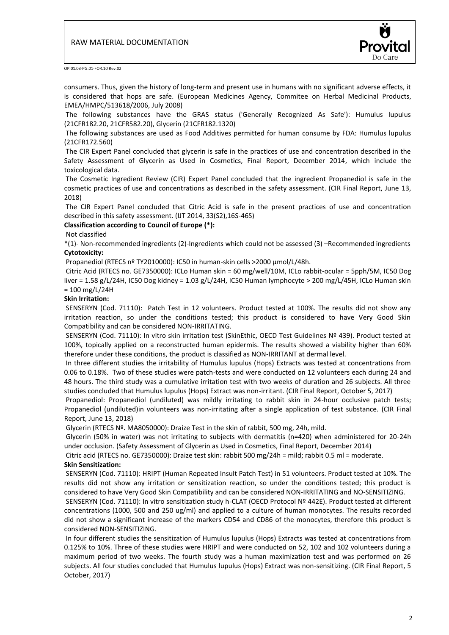

consumers. Thus, given the history of long-term and present use in humans with no significant adverse effects, it is considered that hops are safe. (European Medicines Agency, Commitee on Herbal Medicinal Products, EMEA/HMPC/513618/2006, July 2008)

The following substances have the GRAS status ('Generally Recognized As Safe'): Humulus lupulus (21CFR182.20, 21CFR582.20), Glycerin (21CFR182.1320)

The following substances are used as Food Additives permitted for human consume by FDA: Humulus lupulus (21CFR172.560)

The CIR Expert Panel concluded that glycerin is safe in the practices of use and concentration described in the Safety Assessment of Glycerin as Used in Cosmetics, Final Report, December 2014, which include the toxicological data.

The Cosmetic Ingredient Review (CIR) Expert Panel concluded that the ingredient Propanediol is safe in the cosmetic practices of use and concentrations as described in the safety assessment. (CIR Final Report, June 13, 2018)

The CIR Expert Panel concluded that Citric Acid is safe in the present practices of use and concentration described in this safety assessment. (IJT 2014, 33(S2),16S-46S)

## **Classification according to Council of Europe (\*):**

#### Not classified

\*(1)- Non-recommended ingredients (2)-Ingredients which could not be assessed (3) –Recommended ingredients **Cytotoxicity:**

Propanediol (RTECS nº TY2010000): IC50 in human-skin cells >2000 µmol/L/48h.

Citric Acid (RTECS no. GE7350000): ICLo Human skin = 60 mg/well/10M, ICLo rabbit-ocular = 5pph/5M, IC50 Dog liver = 1.58 g/L/24H, IC50 Dog kidney = 1.03 g/L/24H, IC50 Human lymphocyte > 200 mg/L/45H, ICLo Human skin  $= 100$  mg/L/24H

## **Skin Irritation:**

SENSERYN (Cod. 71110): Patch Test in 12 volunteers. Product tested at 100%. The results did not show any irritation reaction, so under the conditions tested; this product is considered to have Very Good Skin Compatibility and can be considered NON-IRRITATING.

SENSERYN (Cod. 71110): In vitro skin irritation test (SkinEthic, OECD Test Guidelines Nº 439). Product tested at 100%, topically applied on a reconstructed human epidermis. The results showed a viability higher than 60% therefore under these conditions, the product is classified as NON-IRRITANT at dermal level.

In three different studies the irritability of Humulus lupulus (Hops) Extracts was tested at concentrations from 0.06 to 0.18%. Two of these studies were patch-tests and were conducted on 12 volunteers each during 24 and 48 hours. The third study was a cumulative irritation test with two weeks of duration and 26 subjects. All three studies concluded that Humulus lupulus (Hops) Extract was non-irritant. (CIR Final Report, October 5, 2017)

Propanediol: Propanediol (undiluted) was mildly irritating to rabbit skin in 24-hour occlusive patch tests; Propanediol (undiluted)in volunteers was non-irritating after a single application of test substance. (CIR Final Report, June 13, 2018)

Glycerin (RTECS Nº. MA8050000): Draize Test in the skin of rabbit, 500 mg, 24h, mild.

Glycerin (50% in water) was not irritating to subjects with dermatitis (n=420) when administered for 20-24h under occlusion. (Safety Assessment of Glycerin as Used in Cosmetics, Final Report, December 2014)

Citric acid (RTECS no. GE7350000): Draize test skin: rabbit 500 mg/24h = mild; rabbit 0.5 ml = moderate. **Skin Sensitization:**

SENSERYN (Cod. 71110): HRIPT (Human Repeated Insult Patch Test) in 51 volunteers. Product tested at 10%. The results did not show any irritation or sensitization reaction, so under the conditions tested; this product is considered to have Very Good Skin Compatibility and can be considered NON-IRRITATING and NO-SENSITIZING.

SENSERYN (Cod. 71110): In vitro sensitization study h-CLAT (OECD Protocol Nº 442E). Product tested at different concentrations (1000, 500 and 250 ug/ml) and applied to a culture of human monocytes. The results recorded did not show a significant increase of the markers CD54 and CD86 of the monocytes, therefore this product is considered NON-SENSITIZING.

In four different studies the sensitization of Humulus lupulus (Hops) Extracts was tested at concentrations from 0.125% to 10%. Three of these studies were HRIPT and were conducted on 52, 102 and 102 volunteers during a maximum period of two weeks. The fourth study was a human maximization test and was performed on 26 subjects. All four studies concluded that Humulus lupulus (Hops) Extract was non-sensitizing. (CIR Final Report, 5 October, 2017)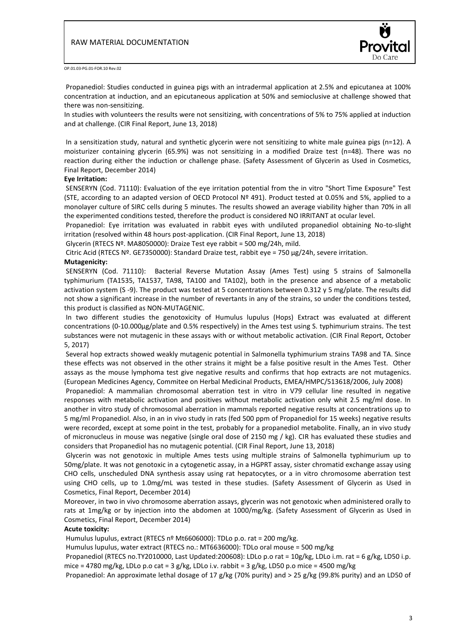

Propanediol: Studies conducted in guinea pigs with an intradermal application at 2.5% and epicutanea at 100% concentration at induction, and an epicutaneous application at 50% and semioclusive at challenge showed that there was non-sensitizing.

In studies with volunteers the results were not sensitizing, with concentrations of 5% to 75% applied at induction and at challenge. (CIR Final Report, June 13, 2018)

In a sensitization study, natural and synthetic glycerin were not sensitizing to white male guinea pigs (n=12). A moisturizer containing glycerin (65.9%) was not sensitizing in a modified Draize test (n=48). There was no reaction during either the induction or challenge phase. (Safety Assessment of Glycerin as Used in Cosmetics, Final Report, December 2014)

#### **Eye Irritation:**

SENSERYN (Cod. 71110): Evaluation of the eye irritation potential from the in vitro "Short Time Exposure" Test (STE, according to an adapted version of OECD Protocol Nº 491). Product tested at 0.05% and 5%, applied to a monolayer culture of SIRC cells during 5 minutes. The results showed an average viability higher than 70% in all the experimented conditions tested, therefore the product is considered NO IRRITANT at ocular level.

Propanediol: Eye irritation was evaluated in rabbit eyes with undiluted propanediol obtaining No-to-slight irritation (resolved within 48 hours post-application. (CIR Final Report, June 13, 2018)

Glycerin (RTECS Nº. MA8050000): Draize Test eye rabbit = 500 mg/24h, mild.

Citric Acid (RTECS Nº. GE7350000): Standard Draize test, rabbit eye = 750 µg/24h, severe irritation.

#### **Mutagenicity:**

SENSERYN (Cod. 71110): Bacterial Reverse Mutation Assay (Ames Test) using 5 strains of Salmonella typhimurium (TA1535, TA1537, TA98, TA100 and TA102), both in the presence and absence of a metabolic activation system (S -9). The product was tested at 5 concentrations between 0.312 y 5 mg/plate. The results did not show a significant increase in the number of revertants in any of the strains, so under the conditions tested, this product is classified as NON-MUTAGENIC.

In two different studies the genotoxicity of Humulus lupulus (Hops) Extract was evaluated at different concentrations (0-10.000µg/plate and 0.5% respectively) in the Ames test using S. typhimurium strains. The test substances were not mutagenic in these assays with or without metabolic activation. (CIR Final Report, October 5, 2017)

Several hop extracts showed weakly mutagenic potential in Salmonella typhimurium strains TA98 and TA. Since these effects was not observed in the other strains it might be a false positive result in the Ames Test. Other assays as the mouse lymphoma test give negative results and confirms that hop extracts are not mutagenics. (European Medicines Agency, Commitee on Herbal Medicinal Products, EMEA/HMPC/513618/2006, July 2008)

Propanediol: A mammalian chromosomal aberration test in vitro in V79 cellular line resulted in negative responses with metabolic activation and positives without metabolic activation only whit 2.5 mg/ml dose. In another in vitro study of chromosomal aberration in mammals reported negative results at concentrations up to 5 mg/ml Propanediol. Also, in an in vivo study in rats (fed 500 ppm of Propanediol for 15 weeks) negative results were recorded, except at some point in the test, probably for a propanediol metabolite. Finally, an in vivo study of micronucleus in mouse was negative (single oral dose of 2150 mg / kg). CIR has evaluated these studies and considers that Propanediol has no mutagenic potential. (CIR Final Report, June 13, 2018)

Glycerin was not genotoxic in multiple Ames tests using multiple strains of Salmonella typhimurium up to 50mg/plate. It was not genotoxic in a cytogenetic assay, in a HGPRT assay, sister chromatid exchange assay using CHO cells, unscheduled DNA synthesis assay using rat hepatocytes, or a in vitro chromosome aberration test using CHO cells, up to 1.0mg/mL was tested in these studies. (Safety Assessment of Glycerin as Used in Cosmetics, Final Report, December 2014)

Moreover, in two in vivo chromosome aberration assays, glycerin was not genotoxic when administered orally to rats at 1mg/kg or by injection into the abdomen at 1000/mg/kg. (Safety Assessment of Glycerin as Used in Cosmetics, Final Report, December 2014)

#### **Acute toxicity:**

Humulus lupulus, extract (RTECS nº Mt6606000): TDLo p.o. rat = 200 mg/kg.

Humulus lupulus, water extract (RTECS no.: MT6636000): TDLo oral mouse = 500 mg/kg

Propanediol (RTECS no.TY2010000, Last Updated:200608): LDLo p.o rat = 10g/kg, LDLo i.m. rat = 6 g/kg, LD50 i.p. mice = 4780 mg/kg, LDLo p.o cat = 3 g/kg, LDLo i.v. rabbit = 3 g/kg, LD50 p.o mice = 4500 mg/kg

Propanediol: An approximate lethal dosage of 17 g/kg (70% purity) and > 25 g/kg (99.8% purity) and an LD50 of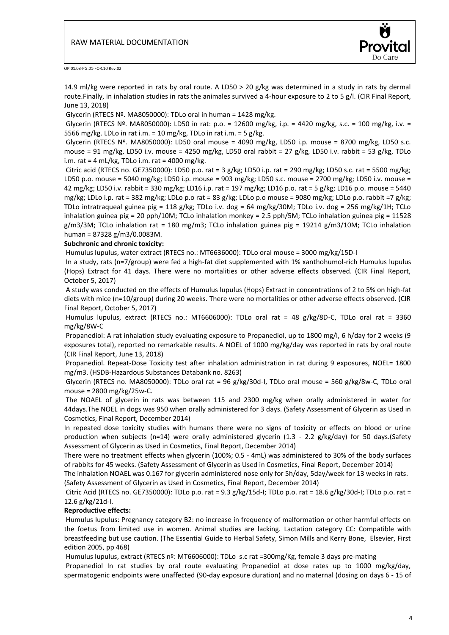

14.9 ml/kg were reported in rats by oral route. A LD50 > 20 g/kg was determined in a study in rats by dermal route.Finally, in inhalation studies in rats the animales survived a 4-hour exposure to 2 to 5 g/l. (CIR Final Report, June 13, 2018)

Glycerin (RTECS  $N<sup>2</sup>$ . MA8050000): TDLo oral in human = 1428 mg/kg.

Glycerin (RTECS Nº. MA8050000): LD50 in rat: p.o. = 12600 mg/kg, i.p. = 4420 mg/kg, s.c. = 100 mg/kg, i.v. = 5566 mg/kg. LDLo in rat i.m. = 10 mg/kg, TDLo in rat i.m. = 5 g/kg.

Glycerin (RTECS Nº. MA8050000): LD50 oral mouse = 4090 mg/kg, LD50 i.p. mouse = 8700 mg/kg, LD50 s.c. mouse = 91 mg/kg, LD50 i.v. mouse = 4250 mg/kg, LD50 oral rabbit = 27 g/kg, LD50 i.v. rabbit = 53 g/kg, TDLo i.m. rat = 4 mL/kg, TDLo i.m. rat = 4000 mg/kg.

Citric acid (RTECS no. GE7350000): LD50 p.o. rat = 3 g/kg; LD50 i.p. rat = 290 mg/kg; LD50 s.c. rat = 5500 mg/kg; LD50 p.o. mouse = 5040 mg/kg; LD50 i.p. mouse = 903 mg/kg; LD50 s.c. mouse = 2700 mg/kg; LD50 i.v. mouse = 42 mg/kg; LD50 i.v. rabbit = 330 mg/kg; LD16 i.p. rat = 197 mg/kg; LD16 p.o. rat = 5 g/kg; LD16 p.o. mouse = 5440 mg/kg; LDLo i.p. rat = 382 mg/kg; LDLo p.o rat = 83 g/kg; LDLo p.o mouse = 9080 mg/kg; LDLo p.o. rabbit =7 g/kg; TDLo intratraqueal guinea pig = 118 g/kg; TDLo i.v. dog = 64 mg/kg/30M; TDLo i.v. dog = 256 mg/kg/1H; TCLo inhalation guinea pig = 20 pph/10M; TCLo inhalation monkey = 2.5 pph/5M; TCLo inhalation guinea pig = 11528 g/m3/3M; TCLo inhalation rat = 180 mg/m3; TCLo inhalation guinea pig = 19214 g/m3/10M; TCLo inhalation human = 87328 g/m3/0.0083M.

## **Subchronic and chronic toxicity:**

Humulus lupulus, water extract (RTECS no.: MT6636000): TDLo oral mouse = 3000 mg/kg/15D-I

In a study, rats (n=7/group) were fed a high-fat diet supplemented with 1% xanthohumol-rich Humulus lupulus (Hops) Extract for 41 days. There were no mortalities or other adverse effects observed. (CIR Final Report, October 5, 2017)

A study was conducted on the effects of Humulus lupulus (Hops) Extract in concentrations of 2 to 5% on high-fat diets with mice (n=10/group) during 20 weeks. There were no mortalities or other adverse effects observed. (CIR Final Report, October 5, 2017)

Humulus lupulus, extract (RTECS no.: MT6606000): TDLo oral rat = 48 g/kg/8D-C, TDLo oral rat = 3360 mg/kg/8W-C

Propanediol: A rat inhalation study evaluating exposure to Propanediol, up to 1800 mg/l, 6 h/day for 2 weeks (9 exposures total), reported no remarkable results. A NOEL of 1000 mg/kg/day was reported in rats by oral route (CIR Final Report, June 13, 2018)

Propanediol. Repeat-Dose Toxicity test after inhalation administration in rat during 9 exposures, NOEL= 1800 mg/m3. (HSDB-Hazardous Substances Databank no. 8263)

Glycerin (RTECS no. MA8050000): TDLo oral rat = 96 g/kg/30d-I, TDLo oral mouse = 560 g/kg/8w-C, TDLo oral mouse = 2800 mg/kg/25w-C.

The NOAEL of glycerin in rats was between 115 and 2300 mg/kg when orally administered in water for 44days.The NOEL in dogs was 950 when orally administered for 3 days. (Safety Assessment of Glycerin as Used in Cosmetics, Final Report, December 2014)

In repeated dose toxicity studies with humans there were no signs of toxicity or effects on blood or urine production when subjects (n=14) were orally administered glycerin (1.3 - 2.2 g/kg/day) for 50 days.(Safety Assessment of Glycerin as Used in Cosmetics, Final Report, December 2014)

There were no treatment effects when glycerin (100%; 0.5 - 4mL) was administered to 30% of the body surfaces of rabbits for 45 weeks. (Safety Assessment of Glycerin as Used in Cosmetics, Final Report, December 2014)

The inhalation NOAEL was 0.167 for glycerin administered nose only for 5h/day, 5day/week for 13 weeks in rats. (Safety Assessment of Glycerin as Used in Cosmetics, Final Report, December 2014)

Citric Acid (RTECS no. GE7350000): TDLo p.o. rat = 9.3 g/kg/15d-I; TDLo p.o. rat = 18.6 g/kg/30d-I; TDLo p.o. rat = 12.6 g/kg/21d-I.

# **Reproductive effects:**

Humulus lupulus: Pregnancy category B2: no increase in frequency of malformation or other harmful effects on the foetus from limited use in women. Animal studies are lacking. Lactation category CC: Compatible with breastfeeding but use caution. (The Essential Guide to Herbal Safety, Simon Mills and Kerry Bone, Elsevier, First edition 2005, pp 468)

Humulus lupulus, extract (RTECS nº: MT6606000): TDLo s.c rat =300mg/Kg, female 3 days pre-mating

Propanediol In rat studies by oral route evaluating Propanediol at dose rates up to 1000 mg/kg/day, spermatogenic endpoints were unaffected (90-day exposure duration) and no maternal (dosing on days 6 - 15 of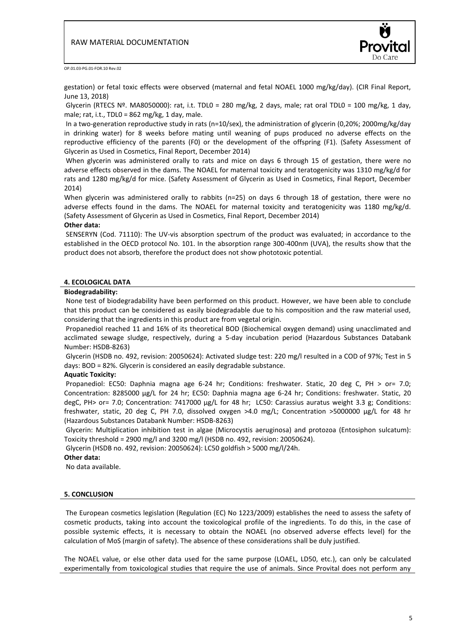

gestation) or fetal toxic effects were observed (maternal and fetal NOAEL 1000 mg/kg/day). (CIR Final Report, June 13, 2018)

Glycerin (RTECS Nº. MA8050000): rat, i.t. TDL0 = 280 mg/kg, 2 days, male; rat oral TDL0 = 100 mg/kg, 1 day, male; rat, i.t., TDL0 =  $862$  mg/kg, 1 day, male.

In a two-generation reproductive study in rats (n=10/sex), the administration of glycerin (0,20%; 2000mg/kg/day in drinking water) for 8 weeks before mating until weaning of pups produced no adverse effects on the reproductive efficiency of the parents (F0) or the development of the offspring (F1). (Safety Assessment of Glycerin as Used in Cosmetics, Final Report, December 2014)

When glycerin was administered orally to rats and mice on days 6 through 15 of gestation, there were no adverse effects observed in the dams. The NOAEL for maternal toxicity and teratogenicity was 1310 mg/kg/d for rats and 1280 mg/kg/d for mice. (Safety Assessment of Glycerin as Used in Cosmetics, Final Report, December 2014)

When glycerin was administered orally to rabbits (n=25) on days 6 through 18 of gestation, there were no adverse effects found in the dams. The NOAEL for maternal toxicity and teratogenicity was 1180 mg/kg/d. (Safety Assessment of Glycerin as Used in Cosmetics, Final Report, December 2014)

# **Other data:**

SENSERYN (Cod. 71110): The UV-vis absorption spectrum of the product was evaluated; in accordance to the established in the OECD protocol No. 101. In the absorption range 300-400nm (UVA), the results show that the product does not absorb, therefore the product does not show phototoxic potential.

## **4. ECOLOGICAL DATA**

#### **Biodegradability:**

None test of biodegradability have been performed on this product. However, we have been able to conclude that this product can be considered as easily biodegradable due to his composition and the raw material used, considering that the ingredients in this product are from vegetal origin.

Propanediol reached 11 and 16% of its theoretical BOD (Biochemical oxygen demand) using unacclimated and acclimated sewage sludge, respectively, during a 5-day incubation period (Hazardous Substances Databank Number: HSDB-8263)

Glycerin (HSDB no. 492, revision: 20050624): Activated sludge test: 220 mg/l resulted in a COD of 97%; Test in 5 days: BOD = 82%. Glycerin is considered an easily degradable substance.

## **Aquatic Toxicity:**

Propanediol: EC50: Daphnia magna age 6-24 hr; Conditions: freshwater. Static, 20 deg C, PH > or= 7.0; Concentration: 8285000 µg/L for 24 hr; EC50: Daphnia magna age 6-24 hr; Conditions: freshwater. Static, 20 degC, PH> or= 7.0; Concentration: 7417000 µg/L for 48 hr; LC50: Carassius auratus weight 3.3 g; Conditions: freshwater, static, 20 deg C, PH 7.0, dissolved oxygen >4.0 mg/L; Concentration >5000000 µg/L for 48 hr (Hazardous Substances Databank Number: HSDB-8263)

Glycerin: Multiplication inhibition test in algae (Microcystis aeruginosa) and protozoa (Entosiphon sulcatum): Toxicity threshold = 2900 mg/l and 3200 mg/l (HSDB no. 492, revision: 20050624).

Glycerin (HSDB no. 492, revision: 20050624): LC50 goldfish > 5000 mg/l/24h.

# **Other data:**

No data available.

## **5. CONCLUSION**

The European cosmetics legislation (Regulation (EC) No 1223/2009) establishes the need to assess the safety of cosmetic products, taking into account the toxicological profile of the ingredients. To do this, in the case of possible systemic effects, it is necessary to obtain the NOAEL (no observed adverse effects level) for the calculation of MoS (margin of safety). The absence of these considerations shall be duly justified.

The NOAEL value, or else other data used for the same purpose (LOAEL, LD50, etc.), can only be calculated experimentally from toxicological studies that require the use of animals. Since Provital does not perform any